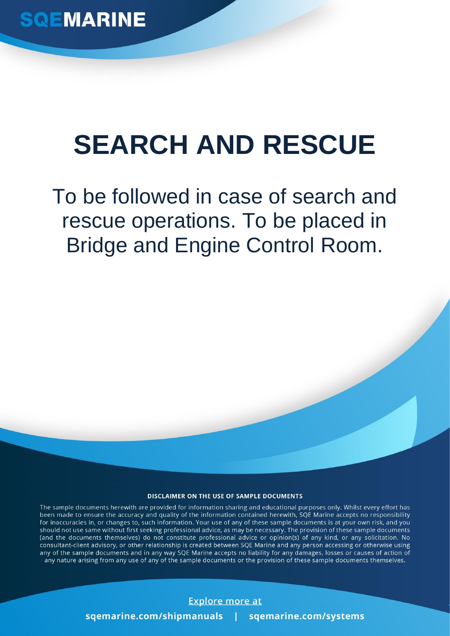## **SEARCH AND RESCUE**

To be followed in case of search and rescue operations. To be placed in Bridge and Engine Control Room.

## DISCLAIMER ON THE USE OF SAMPLE DOCUMENTS

The sample documents herewith are provided for information sharing and educational purposes only. Whilst every effort has been made to ensure the accuracy and quality of the information contained herewith, SQE Marine accepts no responsibility for inaccuracies in, or changes to, such information. Your use of any of these sample documents is at your own risk, and you should not use same without first seeking professional advice, as may be necessary. The provision of these sample documents (and the documents themselves) do not constitute professional advice or opinion(s) of any kind, or any solicitation. No consultant-client advisory, or other relationship is created between SQE Marine and any person accessing or otherwise using any of the sample documents and in any way SQE Marine accepts no liability for any damages, losses or causes of action of any nature arising from any use of any of the sample documents or the provision of these sample documents themselves.

## **Explore more at**

sgemarine.com/shipmanuals sqemarine.com/systems